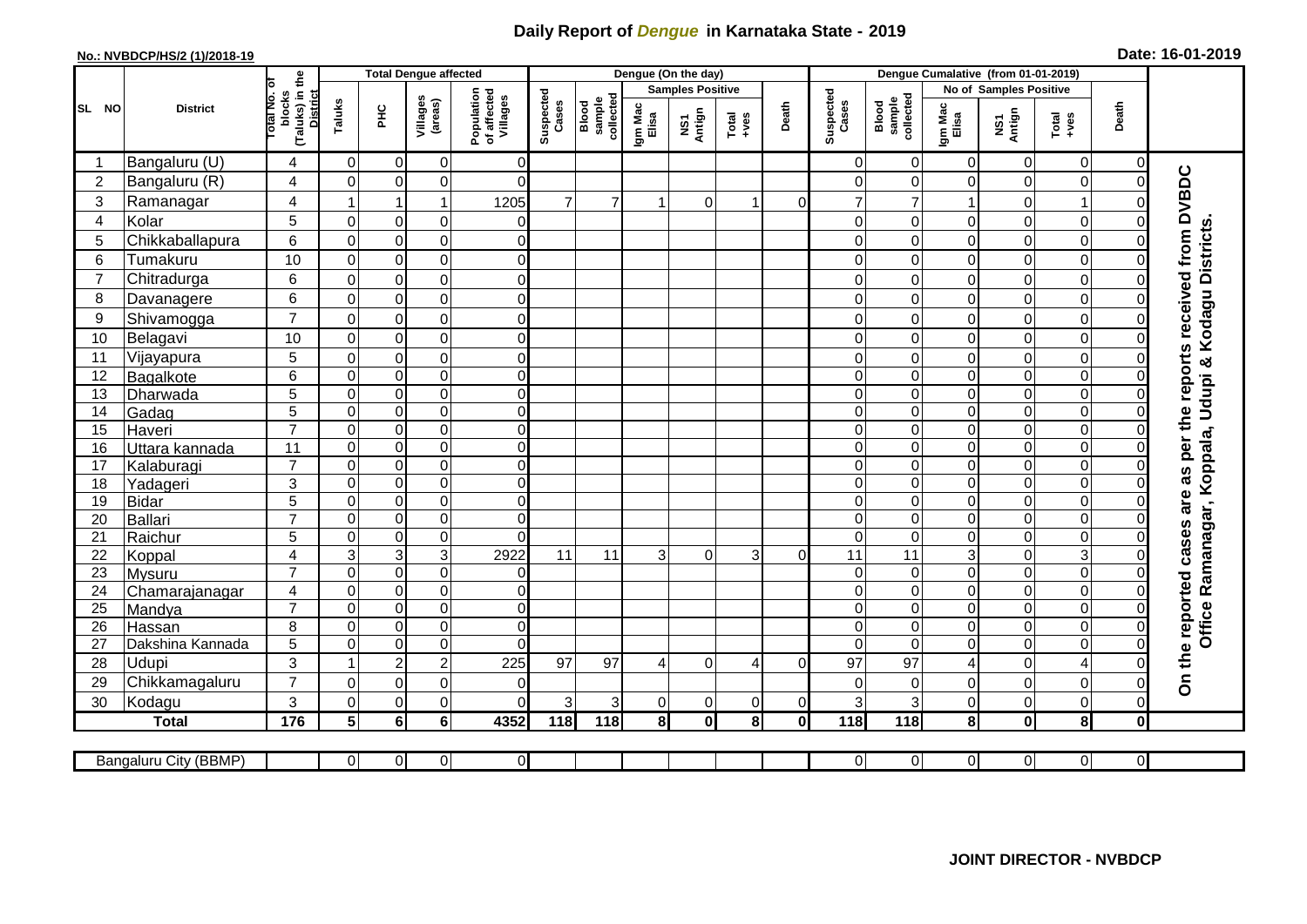## **Daily Report of** *Dengue* **in Karnataka State - 2019**

## **No.: NVBDCP/HS/2 (1)/2018-19 Date: 16-01-2019**

|                | <b>District</b>       |                                           | <b>Total Dengue affected</b> |                |                     |                                       |                    |                              |                         | Dengue (On the day)             |                  |             |                    |                              |                                                       |                        |                         |                |                                            |
|----------------|-----------------------|-------------------------------------------|------------------------------|----------------|---------------------|---------------------------------------|--------------------|------------------------------|-------------------------|---------------------------------|------------------|-------------|--------------------|------------------------------|-------------------------------------------------------|------------------------|-------------------------|----------------|--------------------------------------------|
|                |                       |                                           |                              |                |                     | Population<br>of affected<br>Villages |                    |                              | <b>Samples Positive</b> |                                 |                  |             |                    |                              |                                                       | No of Samples Positive |                         |                |                                            |
| SL NO          |                       | (Taluks) in the<br>lotal No. ol<br>blocks | Taluks                       | Ξ              | Villages<br>(areas) |                                       | Suspected<br>Cases | Blood<br>sample<br>collected | Igm Mac<br>Elisa        | Antign<br>$\overline{\text{S}}$ | Total<br>$+ve$ s | Death       | Suspected<br>Cases | collected<br>sample<br>Blood | Death<br>Igm Mac<br>Elisa<br>NS1<br>Antign<br>$Total$ |                        |                         |                |                                            |
|                | Bangaluru (U)         | 4                                         | $\mathbf 0$                  | 0              | 0                   | $\overline{0}$                        |                    |                              |                         |                                 |                  |             | 0                  | $\overline{0}$               | $\mathbf 0$                                           | 0                      | $\overline{0}$          | 0              |                                            |
| $\overline{c}$ | Bangaluru (R)         | 4                                         | $\Omega$                     | $\mathbf 0$    | 0                   | $\Omega$                              |                    |                              |                         |                                 |                  |             | $\Omega$           | $\Omega$                     | $\Omega$                                              | 0                      | $\mathbf 0$             | $\mathbf 0$    |                                            |
| 3              | Ramanagar             | 4                                         |                              | $\overline{1}$ | $\mathbf{1}$        | 1205                                  | $\overline{7}$     | $\overline{7}$               |                         | 0                               | 1                | $\Omega$    | $\overline{7}$     | $\overline{7}$               |                                                       | 0                      | $\mathbf{1}$            | C              | are as per the reports received from DVBDC |
| 4              | Kolar                 | 5                                         | $\mathbf 0$                  | $\mathbf 0$    | $\mathbf 0$         | $\mathbf 0$                           |                    |                              |                         |                                 |                  |             | $\Omega$           | $\Omega$                     | 0                                                     | 0                      | $\overline{0}$          | $\mathbf 0$    |                                            |
| 5              | Chikkaballapura       | 6                                         | $\mathbf 0$                  | $\mathbf 0$    | 0                   | $\overline{0}$                        |                    |                              |                         |                                 |                  |             | $\Omega$           | $\mathbf 0$                  | 0                                                     | 0                      | $\mathbf 0$             | $\Omega$       |                                            |
| 6              | Tumakuru              | 10                                        | $\Omega$                     | $\mathbf 0$    | 0                   | $\overline{0}$                        |                    |                              |                         |                                 |                  |             | 0                  | $\Omega$                     | $\Omega$                                              | 0                      | $\mathbf 0$             | $\Omega$       |                                            |
| $\overline{7}$ | Chitradurga           | 6                                         | $\mathbf 0$                  | $\pmb{0}$      | $\mathsf 0$         | $\overline{0}$                        |                    |                              |                         |                                 |                  |             | $\Omega$           | $\Omega$                     | 0                                                     | 0                      | $\overline{0}$          | 0              |                                            |
| 8              | Davanagere            | 6                                         | $\overline{0}$               | $\mathbf 0$    | $\mathbf 0$         | $\overline{0}$                        |                    |                              |                         |                                 |                  |             | $\Omega$           | $\Omega$                     | $\Omega$                                              | $\mathbf 0$            | $\overline{0}$          | $\Omega$       |                                            |
| 9              | Shivamogga            | $\overline{7}$                            | $\Omega$                     | $\mathbf 0$    | $\pmb{0}$           | $\overline{0}$                        |                    |                              |                         |                                 |                  |             | 0                  | $\Omega$                     | 0                                                     | 0                      | $\mathbf 0$             | 0              | Kodagu Districts                           |
| 10             | Belagavi              | 10                                        | $\Omega$                     | $\pmb{0}$      | $\mathbf 0$         | $\overline{0}$                        |                    |                              |                         |                                 |                  |             | $\Omega$           | $\Omega$                     | $\Omega$                                              | 0                      | $\mathbf 0$             | $\Omega$       |                                            |
| 11             | Vijayapura            | 5                                         | $\mathbf 0$                  | $\mathbf 0$    | $\mathsf 0$         | $\overline{0}$                        |                    |                              |                         |                                 |                  |             | 0                  | $\Omega$                     | 0                                                     | 0                      | $\mathbf 0$             | $\Omega$       |                                            |
| 12             | Bagalkote             | 6                                         | $\mathbf 0$                  | $\mathbf 0$    | $\overline{0}$      | $\overline{0}$                        |                    |                              |                         |                                 |                  |             | $\Omega$           | $\overline{0}$               | $\mathbf 0$                                           | 0                      | $\overline{0}$          | $\mathbf 0$    | Ramanagar, Koppala, Udupi &                |
| 13             | Dharwada              | 5                                         | $\mathbf 0$                  | $\mathbf 0$    | $\overline{0}$      | $\overline{0}$                        |                    |                              |                         |                                 |                  |             | $\Omega$           | $\overline{0}$               | $\mathbf 0$                                           | $\boldsymbol{0}$       | $\overline{0}$          | $\Omega$       |                                            |
| 14             | Gadag                 | $\overline{5}$                            | $\mathbf 0$                  | $\pmb{0}$      | $\overline{0}$      | $\overline{0}$                        |                    |                              |                         |                                 |                  |             | 0                  | $\overline{0}$               | 0                                                     | 0                      | $\overline{0}$          | $\mathbf 0$    |                                            |
| 15             | Haveri                | $\overline{7}$                            | $\mathbf 0$                  | $\mathbf 0$    | $\mathbf 0$         | $\overline{0}$                        |                    |                              |                         |                                 |                  |             | $\Omega$           | $\mathbf 0$                  | 0                                                     | 0                      | $\overline{0}$          | $\Omega$       |                                            |
| 16             | Uttara kannada        | 11                                        | $\mathbf 0$                  | $\mathbf 0$    | $\overline{0}$      | $\overline{0}$                        |                    |                              |                         |                                 |                  |             | 0                  | $\Omega$                     | 0                                                     | 0                      | $\overline{0}$          | $\Omega$       |                                            |
| 17             | Kalaburagi            | $\overline{7}$                            | $\overline{0}$               | $\mathbf 0$    | $\mathbf 0$         | $\overline{0}$                        |                    |                              |                         |                                 |                  |             | $\Omega$           | $\Omega$                     | 0                                                     | 0                      | $\overline{0}$          | $\mathbf 0$    |                                            |
| 18             | Yadageri              | 3                                         | $\mathbf 0$                  | $\pmb{0}$      | 0                   | $\overline{0}$                        |                    |                              |                         |                                 |                  |             | $\Omega$           | $\mathbf 0$                  | 0                                                     | 0                      | $\overline{0}$          | $\Omega$       |                                            |
| 19             | Bidar                 | 5                                         | $\mathbf 0$                  | $\pmb{0}$      | $\pmb{0}$           | $\overline{0}$                        |                    |                              |                         |                                 |                  |             | $\Omega$           | $\Omega$                     | 0                                                     | 0                      | O                       | $\Omega$       |                                            |
| 20             | <b>Ballari</b>        | $\overline{7}$                            | $\mathbf 0$                  | $\pmb{0}$      | $\overline{0}$      | $\overline{0}$                        |                    |                              |                         |                                 |                  |             | $\Omega$           | 0                            | 0                                                     | 0                      | O                       | $\mathbf 0$    |                                            |
| 21             | Raichur               | 5                                         | $\mathbf 0$                  | $\mathbf 0$    | $\overline{0}$      | $\Omega$                              |                    |                              |                         |                                 |                  |             | $\Omega$           | $\overline{0}$               | $\mathbf 0$                                           | 0                      | $\overline{0}$          | $\mathbf 0$    |                                            |
| 22             | Koppal                | $\overline{\mathbf{4}}$                   | $\mathsf 3$                  | 3              | $\overline{3}$      | 2922                                  | 11                 | 11                           | 3                       | $\mathbf 0$                     | 3                | $\mathbf 0$ | 11                 | $\overline{11}$              | $\mathsf 3$                                           | 0                      | ω                       | $\mathbf 0$    |                                            |
| 23             | Mysuru                | $\overline{7}$                            | $\mathbf 0$                  | $\pmb{0}$      | $\overline{0}$      | $\overline{0}$                        |                    |                              |                         |                                 |                  |             | $\Omega$           | $\overline{0}$               | $\overline{0}$                                        | 0                      | $\overline{0}$          | $\mathbf 0$    |                                            |
| 24             | Chamarajanagar        | $\overline{4}$                            | $\pmb{0}$                    | $\pmb{0}$      | $\overline{0}$      | $\overline{0}$                        |                    |                              |                         |                                 |                  |             | 0                  | $\overline{\mathsf{o}}$      | 0                                                     | 0                      | $\overline{0}$          | $\mathbf 0$    |                                            |
| 25             | Mandya                | $\overline{7}$                            | $\Omega$                     | $\pmb{0}$      | $\mathbf 0$         | $\overline{0}$                        |                    |                              |                         |                                 |                  |             | $\Omega$           | $\Omega$                     | $\Omega$                                              | 0                      | $\overline{0}$          | $\mathbf 0$    | <b>Office</b>                              |
| 26             | Hassan                | 8                                         | $\mathbf 0$                  | $\mathbf 0$    | $\mathsf 0$         | $\overline{0}$                        |                    |                              |                         |                                 |                  |             | $\Omega$           | $\Omega$                     | $\mathbf 0$                                           | 0                      | $\overline{0}$          | $\mathbf 0$    |                                            |
| 27             | Dakshina Kannada      | 5                                         | $\mathbf 0$                  | $\pmb{0}$      | $\pmb{0}$           | $\Omega$                              |                    |                              |                         |                                 |                  |             | $\Omega$           | $\Omega$                     | 0                                                     | 0                      | $\overline{0}$          | $\mathbf 0$    |                                            |
| 28             | Udupi                 | 3                                         | $\mathbf{1}$                 | $\overline{c}$ | $\boldsymbol{2}$    | 225                                   | 97                 | 97                           | 4                       | 0                               | 4                | $\Omega$    | 97                 | 97                           | 4                                                     | 0                      | $\overline{\mathbf{4}}$ | $\Omega$       | On the reported cases                      |
| 29             | Chikkamagaluru        | $\overline{7}$                            | $\Omega$                     | $\mathbf 0$    | 0                   | $\overline{0}$                        |                    |                              |                         |                                 |                  |             | $\Omega$           | $\Omega$                     | 0                                                     | 0                      | $\mathbf 0$             | $\mathbf 0$    |                                            |
| 30             | Kodagu                | 3                                         | $\mathbf 0$                  | $\mathbf 0$    | 0                   | $\overline{0}$                        | 3                  | 3                            | 0                       | 0                               | $\overline{0}$   | 0           | 3                  | 3                            | 0                                                     | 0                      | $\mathbf 0$             | $\mathbf 0$    |                                            |
|                | <b>Total</b>          | 176                                       | 5 <sup>1</sup>               | $6\phantom{a}$ | 6                   | 4352                                  | 118                | 118                          | 8l                      | $\mathbf{0}$                    | 8                | 0l          | 118                | 118                          | 8 <sup>1</sup>                                        | $\mathbf{0}$           | $\overline{\mathbf{8}}$ | $\mathbf 0$    |                                            |
|                |                       |                                           |                              |                |                     |                                       |                    |                              |                         |                                 |                  |             |                    |                              |                                                       |                        |                         |                |                                            |
|                | Bangaluru City (BBMP) |                                           | $\overline{0}$               | $\mathbf 0$    | $\overline{0}$      | $\overline{0}$                        |                    |                              |                         |                                 |                  |             | 0                  | $\overline{0}$               | $\overline{0}$                                        | 0                      | $\overline{0}$          | $\overline{0}$ |                                            |